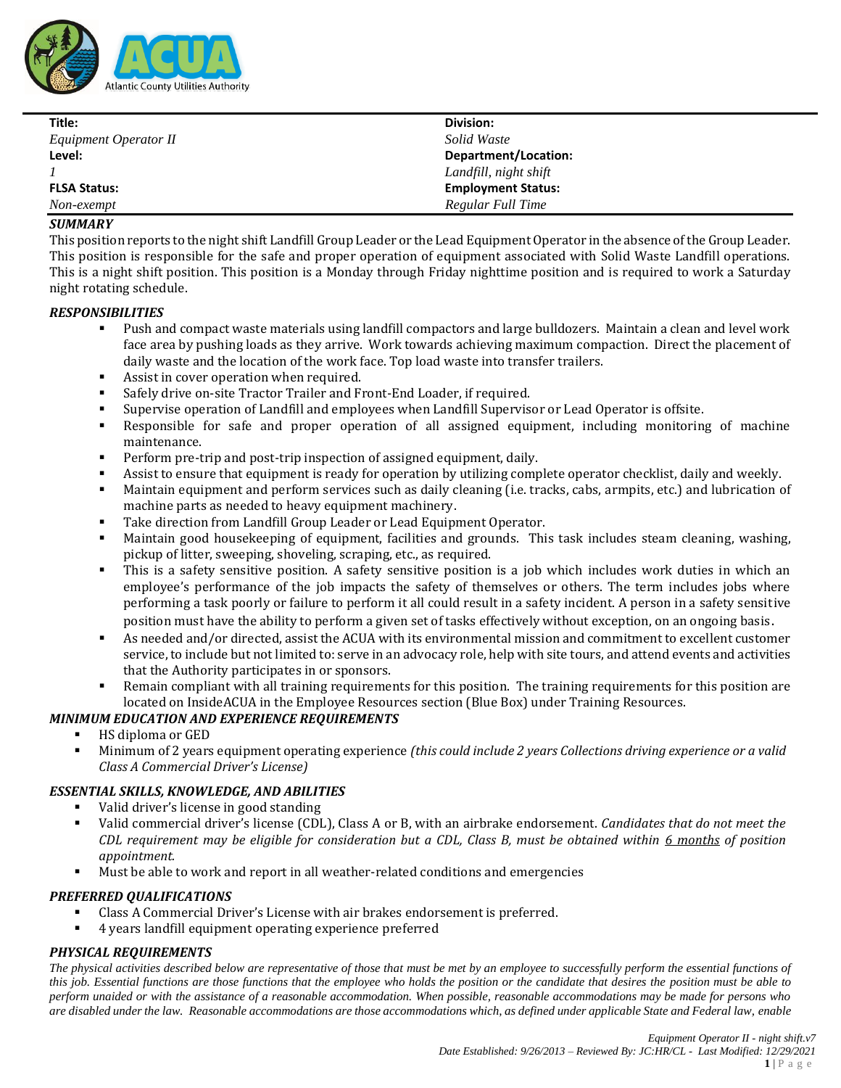

| Title:                | Division:                 |
|-----------------------|---------------------------|
| Equipment Operator II | Solid Waste               |
| Level:                | Department/Location:      |
|                       | Landfill, night shift     |
| <b>FLSA Status:</b>   | <b>Employment Status:</b> |
| Non-exempt            | Regular Full Time         |

#### *SUMMARY*

This position reports to the night shift Landfill Group Leader or the Lead Equipment Operator in the absence of the Group Leader. This position is responsible for the safe and proper operation of equipment associated with Solid Waste Landfill operations. This is a night shift position. This position is a Monday through Friday nighttime position and is required to work a Saturday night rotating schedule.

#### *RESPONSIBILITIES*

- Push and compact waste materials using landfill compactors and large bulldozers. Maintain a clean and level work face area by pushing loads as they arrive. Work towards achieving maximum compaction. Direct the placement of daily waste and the location of the work face. Top load waste into transfer trailers.
- Assist in cover operation when required.
- Safely drive on-site Tractor Trailer and Front-End Loader, if required.
- Supervise operation of Landfill and employees when Landfill Supervisor or Lead Operator is offsite.
- Responsible for safe and proper operation of all assigned equipment, including monitoring of machine maintenance.
- Perform pre-trip and post-trip inspection of assigned equipment, daily.
- Assist to ensure that equipment is ready for operation by utilizing complete operator checklist, daily and weekly.
- Maintain equipment and perform services such as daily cleaning (i.e. tracks, cabs, armpits, etc.) and lubrication of machine parts as needed to heavy equipment machinery.
- Take direction from Landfill Group Leader or Lead Equipment Operator.
- Maintain good housekeeping of equipment, facilities and grounds. This task includes steam cleaning, washing, pickup of litter, sweeping, shoveling, scraping, etc., as required.
- This is a safety sensitive position. A safety sensitive position is a job which includes work duties in which an employee's performance of the job impacts the safety of themselves or others. The term includes jobs where performing a task poorly or failure to perform it all could result in a safety incident. A person in a safety sensitive position must have the ability to perform a given set of tasks effectively without exception, on an ongoing basis.
- As needed and/or directed, assist the ACUA with its environmental mission and commitment to excellent customer service, to include but not limited to: serve in an advocacy role, help with site tours, and attend events and activities that the Authority participates in or sponsors.
- Remain compliant with all training requirements for this position. The training requirements for this position are located on InsideACUA in the Employee Resources section (Blue Box) under Training Resources.

## *MINIMUM EDUCATION AND EXPERIENCE REQUIREMENTS*

- HS diploma or GED
- Minimum of 2 years equipment operating experience *(this could include 2 years Collections driving experience or a valid Class A Commercial Driver's License)*

## *ESSENTIAL SKILLS, KNOWLEDGE, AND ABILITIES*

- Valid driver's license in good standing
- Valid commercial driver's license (CDL), Class A or B, with an airbrake endorsement. *Candidates that do not meet the CDL requirement may be eligible for consideration but a CDL, Class B, must be obtained within 6 months of position appointment.*
- Must be able to work and report in all weather-related conditions and emergencies

## *PREFERRED QUALIFICATIONS*

- Class A Commercial Driver's License with air brakes endorsement is preferred.
- 4 years landfill equipment operating experience preferred

## *PHYSICAL REQUIREMENTS*

*The physical activities described below are representative of those that must be met by an employee to successfully perform the essential functions of this job. Essential functions are those functions that the employee who holds the position or the candidate that desires the position must be able to perform unaided or with the assistance of a reasonable accommodation. When possible, reasonable accommodations may be made for persons who are disabled under the law. Reasonable accommodations are those accommodations which, as defined under applicable State and Federal law, enable*